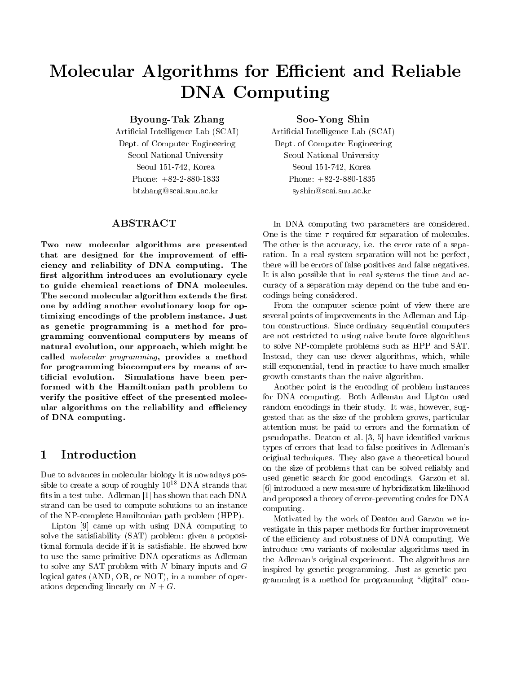# $\blacksquare$ DNA Computing

 $\blacksquare$  Take  $\blacksquare$   $\blacksquare$   $\blacksquare$   $\blacksquare$   $\blacksquare$   $\blacksquare$   $\blacksquare$   $\blacksquare$   $\blacksquare$   $\blacksquare$   $\blacksquare$   $\blacksquare$   $\blacksquare$   $\blacksquare$   $\blacksquare$   $\blacksquare$   $\blacksquare$   $\blacksquare$   $\blacksquare$   $\blacksquare$   $\blacksquare$   $\blacksquare$   $\blacksquare$   $\blacksquare$   $\blacksquare$   $\blacksquare$   $\blacksquare$   $\blacksquare$   $\blacksquare$   $\blacksquare$ 

 $\mathcal{L}$ Dept. of Computer Engineering Seoul National University  $S$  . See Section 2. And  $S$  is the set of  $S$ Phone:  $+82-2-880-1833$ btzhang@scai.snu.ac.kr

### ABSTRACT

Two new molecular algorithms are presented that are designed for the improvement of efficiency and reliability of DNA computing. The first algorithm introduces an evolutionary cycle to guide chemical reactions of DNA molecules The second molecular algorithm extends the first one by adding another evolutionary loop for op timizing encodings of the problem instance. Just as genetic programming is <sup>a</sup> method for pro gramming conventional computers by means of natural evolution, our approach, which might be called molecular programming, provides a method for programming biocomputers by means of ar tificial evolution. Simulations have been performed with the Hamiltonian path problem to verify the positive effect of the presented molecular algorithms on the reliability and e-ciency and e-ciency and e-ciency and e-ciency and e-ciency and e-ciency of DNA computing

### Introduction

Due to advances in molecular biology it is nowadays pos sible to create a soup of roughly  $10$  DNA strands that  $\alpha$  [a]  $t$ s in a test tube Administration that each DNA  $t$  is the  $t$  shown that each DNA  $t$  is that each DNA  $t$ strand can be used to compute solutions to an instance of the NP-complete Hamiltonian path problem (HPP).

Lipton  $[9]$  came up with using DNA computing to solve the satis-ability SAT problem given a proposi tional formula decide if it is satisfactor if it is satisfactor if it is satisfactor if it is satisfactor if  $\mathbf{H}^{\mathbf{H}}$ to use the same primitive DNA operations as Adleman to solve any SAT problem with  $N$  binary inputs and  $G$ logical gates  $(AND, OR, or NOT)$ , in a number of operations depending linearly on  $N + G$ .

Soo-Yong Shin

 $\mathcal{L}$  are contracted as a set of  $\mathcal{L}$ Dept. of Computer Engineering Seoul National University Seoul  Korea Phone:  $+82-2-880-1835$ syshin@scai.snu.ac.kr

ration in a real system separation will not be perfect that  $\mathbb{P}^1$ In DNA computing two parameters are considered One is the time - required for separation of molecules and models. The other is the accuracy, i.e. the error rate of a sepathere will be errors of false positives and false negatives It is also possible that in real systems the time and ac curacy of a separation may depend on the tube and en codings being considered

From the computer science point of view there are several points of improvements in the Adleman and Lip ton constructions. Since ordinary sequential computers are not restricted to using naive brute force algorithms to solve NP-complete problems such as HPP and SAT. Instead, they can use clever algorithms, which, while still exponential tend in practice to have much smaller growth constants than the naive algorithm

Another point is the encoding of problem instances for DNA computing. Both Adleman and Lipton used random encodings in their study. It was, however, suggested that as the size of the problem grows particular attention must be paid to errors and the formation of pseudopaths Deaton et al various is provided the contract of the contract of the contract of the contract of the contract of the contract of the contract of the contract of the contract of the contract of the contract of t types of errors that lead to false positives in Adleman's original techniques They also gave a theoretical bound on the size of problems that can be solved reliably and used genetic search for good encodings. Garzon et al. introduced a new measure of hybridization likelihood and proposed a theory of error-preventing codes for DNA computing

Motivated by the work of Deaton and Garzon we in vestigate in this paper methods for further improvement of the efficiency and robustness of DNA computing. We introduce two variants of molecular algorithms used in the Adleman's original experiment. The algorithms are inspired by genetic programming Just as genetic pro gramming is a method for programming "digital" com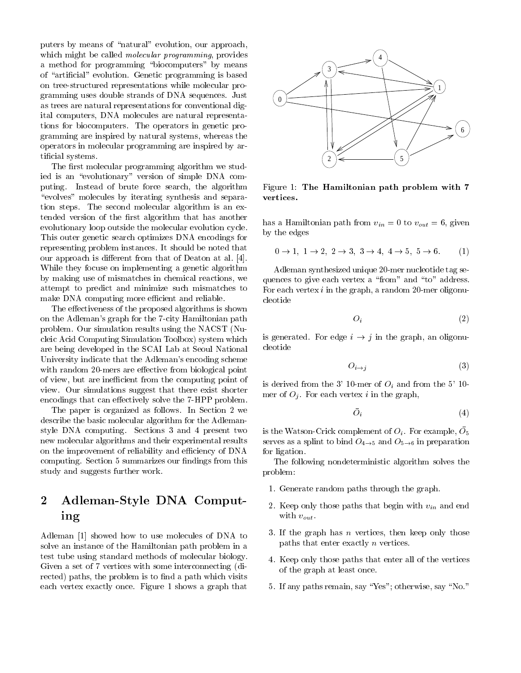puters by means of "natural" evolution, our approach, which might be called *molecular programming*, provides a method for programming "biocomputers" by means of arti-cial evolution Genetic programming is based on treestructured representations while molecular pro gramming uses double strands of DNA sequences Just as trees are natural representations for conventional dig ital computers DNA molecules are natural representa tions for biocomputers. The operators in genetic programming are inspired by natural systems whereas the operators in molecular programming are inspired by ar ti-cial systems of the cial systems  $\mathcal{L}_\mathbf{z}$  and  $\mathcal{L}_\mathbf{z}$  and  $\mathcal{L}_\mathbf{z}$  and  $\mathcal{L}_\mathbf{z}$  and  $\mathcal{L}_\mathbf{z}$  and  $\mathcal{L}_\mathbf{z}$  and  $\mathcal{L}_\mathbf{z}$  and  $\mathcal{L}_\mathbf{z}$  and  $\mathcal{L}_\mathbf{z}$  and  $\mathcal{L}_\mathbf{z}$ 

The  $r$  molecular programming algorithm we study algorithm we study algorithm we study algorithm we study algorithm we study algorithm we study algorithm we study algorithm we study algorithm we study algorithm we study a ied is an "evolutionary" version of simple DNA computing. Instead of brute force search, the algorithm "evolves" molecules by iterating synthesis and separation steps. The second molecular algorithm is an exthe -version of the -version of the -version of the -version of the -version of the -version of the -version of the -version of the -version of the -version of the -version of the -version of the -version of the -version evolutionary loop outside the molecular evolution cycle This outer genetic search optimizes DNA encodings for representing problem instances It should be noted that our approach is die rent from that of Deaton at all that of Deaton at all that of Deaton at all that of Deaton While they focuse on implementing a genetic algorithm by making use of mismatches in chemical reactions we attempt to predict and minimize such mismatches to make DNA computing more efficient and reliable.

The effectiveness of the proposed algorithms is shown on the Adleman's graph for the 7-city Hamiltonian path problem. Our simulation results using the NACST (Nucleic Acid Computing Simulation Toolbox) system which are being developed in the SCAI Lab at Seoul National University indicate that the Adleman's encoding scheme with random 20-mers are effective from biological point of view, but are inefficient from the computing point of view Our simulations suggest that there exist shorter encodings that can effectively solve the  $7$ -HPP problem.

The paper is organized as follows. In Section 2 we describe the basic molecular algorithm for the Adleman style Distributions of the Section of the Section and Section and Section and Section and Section and Section new molecular algorithms and their experimental results on the improvement of reliability and efficiency of DNA computing Section Section Section Section Section 1999, The Section Section 1999, The Section 1999 of the Section 1999 of the Section 1999 of the Section 1999 of the Section 1999 of the Section 1999 of the Section 1999 of study and suggests further work

### $\overline{2}$ Adleman-Style DNA Computing

Adleman [1] showed how to use molecules of DNA to solve an instance of the Hamiltonian path problem in a test tube using standard methods of molecular biology Given a set of 7 vertices with some interconnecting (directed paths the problem is to - problem is to - problem is to - problem is to - problem is to - problem is to each vertex exactly once. Figure 1 shows a graph that



Figure 1: The Hamiltonian path problem with 7 vertices

has a Hamiltonian path from  $v_{in} = 0$  to  $v_{out} = 6$ , given by the edges

$$
0 \to 1, 1 \to 2, 2 \to 3, 3 \to 4, 4 \to 5, 5 \to 6. \tag{1}
$$

Adleman synthesized unique 20-mer nucleotide tag sequences to give each vertex a "from" and "to" address. For each vertex  $i$  in the graph, a random 20-mer oligonucleotide

$$
O_i \tag{2}
$$

is generated. For edge  $i \rightarrow j$  in the graph, an oligonucleotide

$$
O_{i \to j} \tag{3}
$$

is derived from the 3' 10-mer of  $O_i$  and from the 5' 10mer of  $O_i$ . For each vertex i in the graph,

$$
\bar{O_i} \tag{4}
$$

is the Watson-Crick complement of  $O_i$ . For example,  $\overline{O}_5$ serves as a splint to bind  $O_{4\rightarrow 5}$  and  $O_{5\rightarrow 6}$  in preparation for ligation

The following nondeterministic algorithm solves the problem

- 1. Generate random paths through the graph.
- 2. Keep only those paths that begin with  $v_{in}$  and end with  $v_{out}$ .
- 3. If the graph has  $n$  vertices, then keep only those paths that enter exactly  $n$  vertices.
- Keep only those paths that enter all of the vertices of the graph at least once
- 5. If any paths remain, say "Yes"; otherwise, say "No."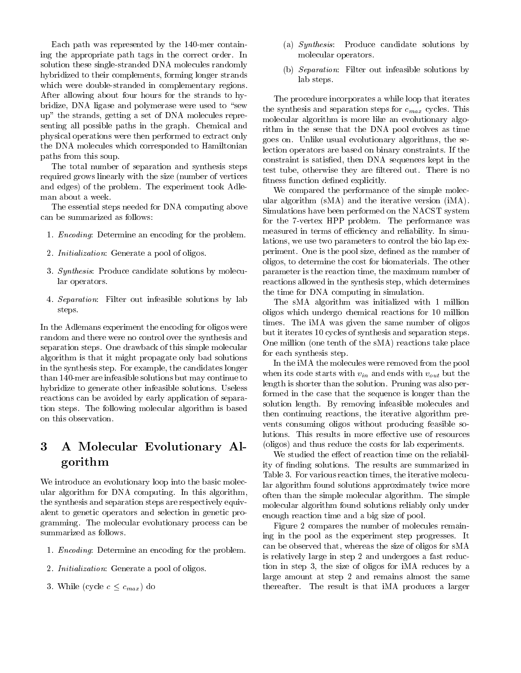Each path was represented by the mer contain ing the appropriate path tags in the correct order. In solution these single-stranded DNA molecules randomly hybridized to their complements forming longer strands which were double-stranded in complementary regions. After allowing about four hours for the strands to hy bridize, DNA ligase and polymerase were used to "sew up" the strands, getting a set of DNA molecules representing all possible paths in the graph. Chemical and physical operations were then performed to extract only the DNA molecules which corresponded to Hamiltonian paths from this soup

The total number of separation and synthesis steps required grows linearly with the size (number of vertices and edges) of the problem. The experiment took Adleman about a week

The essential steps needed for DNA computing above can be summarized as follows

- 1. *Encoding*: Determine an encoding for the problem.
- 2. *Initialization*: Generate a pool of oligos.
- 3. Synthesis: Produce candidate solutions by molecular operators
- se rough the second solution of the solutions of the solutions of the solutions of the solutions of the solutions of the solution of the solution of the solution of the solution of the solution of the solution of the solut steps

In the Adlemans experiment the encoding for oligos were random and there were no control over the synthesis and separation steps. One drawback of this simple molecular algorithm is that it might propagate only bad solutions in the synthesis step. For example, the candidates longer than mer are infeasible solutions but may continue to hybridize to generate other infeasible solutions. Useless reactions can be avoided by early application of separa tion steps The following molecular algorithm is based on this observation

## A Molecular Evolutionary Al gorithm

We introduce an evolutionary loop into the basic molec ular algorithm for DNA computing. In this algorithm, the synthesis and separation steps are respectively equiv alent to genetic operators and selection in genetic pro gramming The molecular evolutionary process can be summarized as follows

- 1. *Encoding*: Determine an encoding for the problem.
- 2. Initialization: Generate a pool of oligos.
- $\mathcal{S}$  contract contract  $\mathcal{S}$
- (a) Synthesis: Produce candidate solutions by molecular operators
- (b) Separation: Filter out infeasible solutions by lab steps

The procedure incorporates a while loop that iterates the synthesis and separation steps for  $c_{max}$  cycles. This molecular algorithm is more like an evolutionary algo rithm in the sense that the DNA pool evolves as time goes on Unlike usual evolutionary algorithms the se lection operators are based on binary constraints. If the constraint is satisfied in the data that is specific in the case of the sequences  $\mathcal{L}_{\mathcal{A}}$ test tube otherwise they are -ltered out There is no -tness function de-ned explicitly

We compared the performance of the simple molec ular algorithm ( $sMA$ ) and the iterative version ( $iMA$ ). Simulations have been performed on the NACST system for the  $7$ -vertex HPP problem. The performance was measured in terms of efficiency and reliability. In simulations we use two parameters to control the bio lap ex periment One is the pool size de-ned as the number of oligos to determine the cost for biomaterials The other parameter is the reaction time the maximum number of reactions allowed in the synthesis step which determines the time for DNA computing in simulation

The sMA algorithm was initialized with 1 million oligos which undergo chemical reactions for 10 million times. The iMA was given the same number of oligos but it iterates 10 cycles of synthesis and separation steps. One million (one tenth of the  $sMA$ ) reactions take place for each synthesis step

In the iMA the molecules were removed from the pool when its code starts with  $v_{in}$  and ends with  $v_{out}$  but the length is shorter than the solution. Pruning was also performed in the case that the sequence is longer than the solution length By removing infeasible molecules and then continuing reactions the iterative algorithm pre vents consuming oligos without producing feasible so lutions. This results in more effective use of resources (oligos) and thus reduce the costs for lab experiments.

We studied the effect of reaction time on the reliability of - nding solutions The results are summarized in the results are summarized in the results are summarized in Table 3. For various reaction times, the iterative molecular algorithm found solutions approximately twice more often than the simple molecular algorithm The simple molecular algorithm found solutions reliably only under enough reaction time and a big size of pool

Figure 2 compares the number of molecules remaining in the pool as the experiment step progresses It can be observed that, whereas the size of oligos for sMA is relatively large in step 2 and undergoes a fast reduction in step 3, the size of oligos for  $\text{IMA}$  reduces by a large amount at step 2 and remains almost the same thereafter. The result is that iMA produces a larger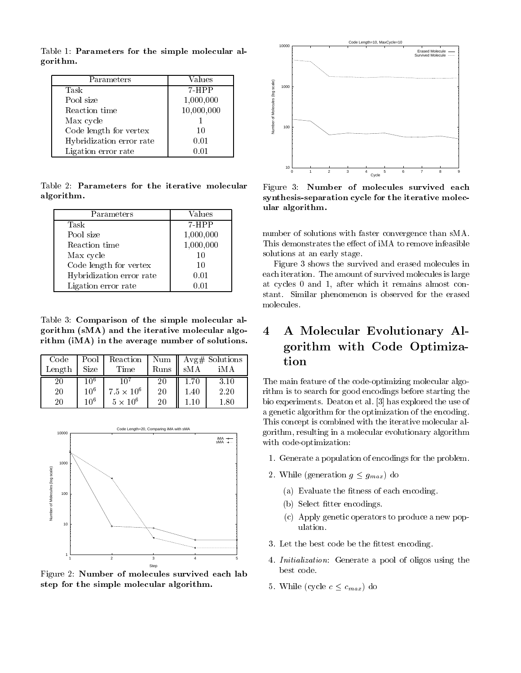Table 1: Parameters for the simple molecular algorithm

| Parameters               | Values     |  |
|--------------------------|------------|--|
| Task                     | $7 - HPP$  |  |
| Pool size                | 1,000,000  |  |
| Reaction time            | 10,000,000 |  |
| Max cycle                |            |  |
| Code length for vertex   | 10         |  |
| Hybridization error rate | 0.01       |  |
| Ligation error rate      |            |  |

Table Parameters for the iterative molecular algorithm

| Parameters               | Values    |  |
|--------------------------|-----------|--|
| Task                     | $7 - HPP$ |  |
| Pool size                | 1,000,000 |  |
| Reaction time            | 1,000,000 |  |
| Max cycle                | 10        |  |
| Code length for vertex   | 10        |  |
| Hybridization error rate | 0.01      |  |
| Ligation error rate      | 0.01      |  |

Table Comparison of the simple molecular al  $\mathcal{L}$  and the iterative molecular algorithm in the interation molecular algorithm in the interaction of  $\mathcal{L}$ rithm  $\mathcal{M}$  in the average number of solutions of solutions of solutions of solutions of solutions of solutions of solutions of solutions of solutions of solutions of solutions of solutions of solutions of solutions of

| Code   |                 | Pool   Reaction   Num    Avg# Solutions |      |                 |          |        |
|--------|-----------------|-----------------------------------------|------|-----------------|----------|--------|
| Length | Size            | Time                                    | Runs | $\parallel$ sMA | iMA      |        |
| 20     | 10 <sup>6</sup> |                                         | 20   | 1.70            | 3.10     | The 1  |
| 20     | $10^{6}$        | $7.5 \times 10^6$                       | 20   | 1.40            | 2.20     | rithn  |
| 20     | 10 <sup>6</sup> | $5 \times 10^6$                         | 20   |                 | $1.80\,$ | bio e. |



Figure 2: Number of molecules survived each lab step for the simple molecular algorithm



Figure 3: Number of molecules survived each synthesis-separation cycle for the iterative molecular algorithm

number of solutions with faster convergence than sMA This demonstrates the effect of iMA to remove infeasible solutions at an early stage

Figure 3 shows the survived and erased molecules in each iteration. The amount of survived molecules is large at cycles 0 and 1, after which it remains almost constant. Similar phenomenon is observed for the erased molecules

# A Molecular Evolutionary Al gorithm with Code Optimiza

The main feature of the code-optimizing molecular algorithm is to search for good encodings before starting the bio experiments. Deaton et al. [3] has explored the use of a genetic algorithm for the optimization of the encoding This concept is combined with the iterative molecular al gorithm resulting in a molecular evolutionary algorithm with code-optimization:

- 1. Generate a population of encodings for the problem.
- $\Box$  gmax do ---------  $\partial = \partial m \omega$ 
	- $\mathcal{L}$  . The statistic the statistic theoretical energy of  $\mathcal{L}$
	- $t = t$  . Section the section of  $\mathbb{R}^n$
	- c Apply genetic operators to produce a new pop ulation
- $\mathbf{L}$
- Initialization Generate a pool of oligos using the best code.
- While cycle <sup>c</sup> cmax do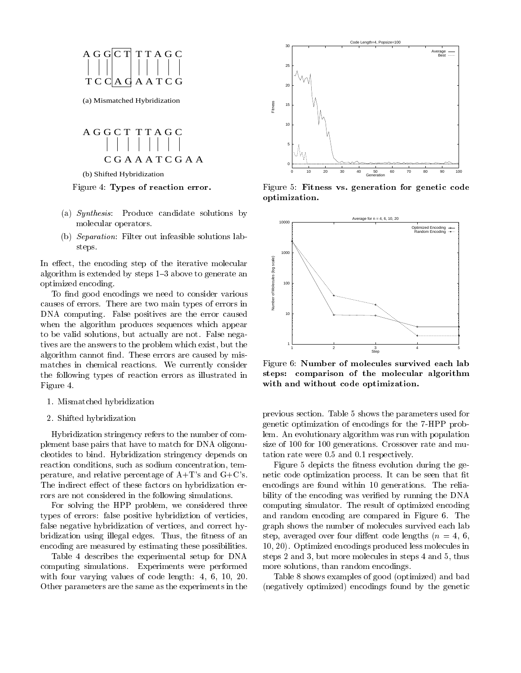

(a) Mismatched Hybridization



(b) Shifted Hybridization

#### Figure Types of reaction error

- (a)  $Synthesis$ : Produce candidate solutions by molecular operators
- (b) Separation: Filter out infeasible solutions labsteps

In effect, the encoding step of the iterative molecular<br>algorithm is extended by steps 1–3 above to generate an<br>optimized encoding.<br>To find good encodings we need to consider various<br>causes of errors. There are two main t algorithm is extended by steps  $1-3$  above to generate an optimized encoding

To -nd good encodings we need to consider various causes of errors There are two main types of errors in DNA computing. False positives are the error caused when the algorithm produces sequences which appear to be valid solutions but actually are not False nega tives are the answers to the problem which exist, but the na<sub>l</sub>gorithm cannot are caused by mission and caused by mission matches in chemical reactions. We currently consider the following types of reaction errors as illustrated in  $\mathbf{f}$  and  $\mathbf{f}$ 

- 1. Mismatched hybridization
- 2. Shifted hybridization

Hybridization stringency refers to the number of com plement base pairs that have to match for DNA oligonu cleotides to bind Hybridization stringency depends on reaction conditions, such as sodium concentration, temperature, and relative percentage of  $A+T$ 's and  $G+C$ 's. The indirect effect of these factors on hybridization errors are not considered in the following simulations

For solving the HPP problem we considered three types of errors false positive hybridiztion of verticies false negative hybridization of vertices, and correct hy- $\mathbf{u}$  is a set and the -thus indicated the -thus indicated the -thus indicated the -thus indicated the -thus indicated the -thus indicated the -thus indicated the -thus indicated the -thus indicated the -thus indicated encoding are measured by estimating these possibilities

Table describes the experimental setup for DNA computing simulations. Experiments were performed with four values of code length four values of code length  $\sim$  1. For values of code length  $\sim$  1. For values of code length  $\sim$  1. For values of code length  $\sim$  1. For values of code length  $\sim$  1. For values of code Other parameters are the same as the experiments in the



Figure 5: Fitness vs. generation for genetic code optimization



Figure 6: Number of molecules survived each lab steps: comparison of the molecular algorithm with and without code optimization

previous section. Table 5 shows the parameters used for genetic optimization of encodings for the 7-HPP problem. An evolutionary algorithm was run with population size of 100 for 100 generations. Crossover rate and mutation rate were  $0.5$  and  $0.1$  respectively.

Figure depicts the -tness evolution during the ge netic code optimization process It can be seen that  $\mathbb{R}^n$ encodings are found within 10 generations. The reliability of the encoding was veri-ed by running the DNA computing simulator. The result of optimized encoding and random encoding are compared in Figure 6. The graph shows the number of molecules survived each lab step averaged over four dientes to de lengths not have a length over  $\mathcal{S}$ 10, 20). Optimized encodings produced less molecules in steps in the contract of the contract of the contract of the contract of the contract of the contract of the contract of the contract of the contract of the contract of the contract of the contract of the contract of the c more solutions, than random encodings.

Table 8 shows examples of good (optimized) and bad (negatively optimized) encodings found by the genetic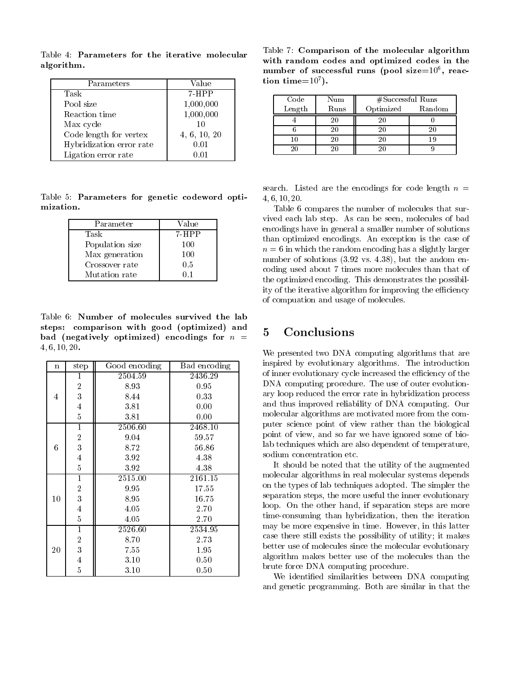Parameters Parameters Value Task 7-HPP Pool size 1,000,000  $\sim$  reaction times the contraction time time that the contract of the contract of the contract of the contract of the contract of the contract of the contract of the contract of the contract of the contract of the contra Max cycle  $10$ Code length for vertex  $4, 6, 10, 20$ Hybridization error rate Ligation error rate  $0.01$ 

Table Parameters for the iterative molecular algorithm

Table 5: Parameters for genetic codeword optimization

| Parameter       | Value |
|-----------------|-------|
| Task            | 7-HPP |
| Population size | 100   |
| Max generation  | 100   |
| Crossover rate  | 0.5   |
| Mutation rate   |       |

Table Number of molecules survived the lab steps comparison with good  $\alpha$  and  $\alpha$  and  $\alpha$  and  $\alpha$  and  $\alpha$  and  $\alpha$  and  $\alpha$  and  $\alpha$  and  $\alpha$  and  $\alpha$  and  $\alpha$  and  $\alpha$  and  $\alpha$  and  $\alpha$  and  $\alpha$  and  $\alpha$  and  $\alpha$  and  $\alpha$  and  $\alpha$  and  $\alpha$  and  $\alpha$  and  $\alpha$  a bad **inegatively** optimized by the newspace for  $\alpha$  $-1$   $-1$   $-1$   $-1$   $-1$ 

| $\mathbf n$ | step                    | Good encoding | Bad encoding |
|-------------|-------------------------|---------------|--------------|
| 4           | 1                       | 2504.59       | 2436.29      |
|             | $\boldsymbol{2}$        | 8.93          | 0.95         |
|             | $\overline{3}$          | 8.44          | 0.33         |
|             | $\overline{4}$          | 3.81          | 0.00         |
|             | $\overline{5}$          | 3.81          | 0.00         |
|             | $\mathbf{1}$            | 2506.60       | 2468.10      |
|             | $\boldsymbol{2}$        | 9.04          | 59.57        |
| 6           | 3                       | 8.72          | 56.86        |
|             | $\overline{4}$          | 3.92          | 4.38         |
|             | $\overline{5}$          | 3.92          | 4.38         |
| 10          | $\mathbf{1}$            | 2515.00       | 2161.15      |
|             | $\overline{2}$          | 9.95          | 17.55        |
|             | 3                       | 8.95          | 16.75        |
|             | $\overline{\mathbf{4}}$ | 4.05          | 2.70         |
|             | $\mathbf{5}$            | 4.05          | 2.70         |
|             | $\mathbf{1}$            | 2526.60       | 2534.95      |
| 20          | $\overline{2}$          | 8.70          | 2.73         |
|             | $\boldsymbol{3}$        | 7.55          | 1.95         |
|             | $\frac{4}{5}$           | 3.10          | 0.50         |
|             |                         | 3.10          | 0.50         |

Table 7: Comparison of the molecular algorithm with random codes and optimized codes in the number of successful runs (pool size $=$ 10°, reac- $\,$ tion time= $10<sup>7</sup>$ ).

| $\operatorname*{Code}\nolimits_{\operatorname*{Length}}% \operatorname*{Length}\nolimits_{\operatorname*{Length}}% \operatorname*{Length}% \nolimits_{\operatorname*{Path}}% \operatorname*{Path}\nolimits_{\operatorname*{Path}}% \operatorname*{Path}\nolimits_{\operatorname*{Path}}% \operatorname*{Path}\nolimits_{\operatorname*{Path}}% \operatorname*{Path}\nolimits_{\operatorname*{Path}}% \operatorname*{Path}\nolimits_{\operatorname*{Path}}% \operatorname*{Path}\nolimits_{\operatorname*{Path}}% \operatorname*{Path}\nolimits_{\operatorname*{Path}}% \operatorname*{Path}\nolimits_{\operatorname*{Path}}% \operatorname*{Path}\nolimits$ | Num  | $#S$ uccessful Runs |        |
|-------------------------------------------------------------------------------------------------------------------------------------------------------------------------------------------------------------------------------------------------------------------------------------------------------------------------------------------------------------------------------------------------------------------------------------------------------------------------------------------------------------------------------------------------------------------------------------------------------------------------------------------------------------|------|---------------------|--------|
|                                                                                                                                                                                                                                                                                                                                                                                                                                                                                                                                                                                                                                                             | Runs | Optimized           | Random |
|                                                                                                                                                                                                                                                                                                                                                                                                                                                                                                                                                                                                                                                             |      |                     |        |
|                                                                                                                                                                                                                                                                                                                                                                                                                                                                                                                                                                                                                                                             |      |                     |        |
|                                                                                                                                                                                                                                                                                                                                                                                                                                                                                                                                                                                                                                                             |      |                     |        |
|                                                                                                                                                                                                                                                                                                                                                                                                                                                                                                                                                                                                                                                             |      |                     |        |

search. Listed are the encodings for code length  $n =$  $-101 - 01 - 01$ 

Table 6 compares the number of molecules that survived each lab step. As can be seen, molecules of bad encodings have in general a smaller number of solutions than optimized encodings An exception is the case of n in which the random encoding has a slightly larger number of solutions vs  but the andom en coding used about 7 times more molecules than that of the optimized encoding. This demonstrates the possibility of the iterative algorithm for improving the efficiency of compuation and usage of molecules

### Conclusions

We presented two DNA computing algorithms that are inspired by evolutionary algorithms. The introduction of inner evolutionary cycle increased the efficiency of the DNA computing procedure. The use of outer evolutionary loop reduced the error rate in hybridization process and thus improved reliability of DNA computing. Our molecular algorithms are motivated more from the com puter science point of view rather than the biological point of view and so far we have ignored some of bio lab techniques which are also dependent of temperature sodium concentration etc

It should be noted that the utility of the augmented molecular algorithms in real molecular systems depends on the types of lab techniques adopted. The simpler the separation steps, the more useful the inner evolutionary loop. On the other hand, if separation steps are more timeconsuming than hybridization then the iteration may be more expensive in time. However, in this latter case there still exists the possibility of utility; it makes better use of molecules since the molecular evolutionary algorithm makes better use of the molecules than the brute force DNA computing procedure

We identified similarities between DNA computing ed similarities between DNA computing and genetic programming. Both are similar in that the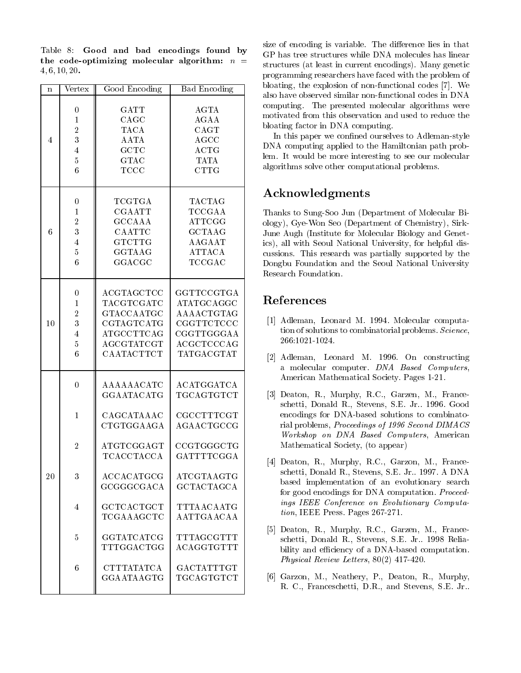Table 8: Good and bad encodings found by the code-optimizing molecular algorithm:  $n =$  $-1$   $-1$   $-1$   $-1$   $-1$ 

| $\mathbf n$    | Vertex           | Good Encoding     | <b>Bad Encoding</b> | bloatir<br>also ha                |
|----------------|------------------|-------------------|---------------------|-----------------------------------|
|                |                  |                   |                     | compu                             |
|                | $\boldsymbol{0}$ | GATT              | AGTA                | motiva                            |
|                | $\mathbf{1}$     | CAGC              | AGAA                | bloatin                           |
|                | $\boldsymbol{2}$ | <b>TACA</b>       | CAGT                | In t                              |
| $\overline{4}$ | $\overline{3}$   | <b>AATA</b>       | <b>AGCC</b>         | DNA c                             |
|                | $\overline{4}$   | GCTC              | ACTG                | lem. It                           |
|                | $\overline{5}$   | <b>GTAC</b>       | <b>TATA</b>         | algorit                           |
|                | $6\phantom{.}6$  | <b>TCCC</b>       | <b>CTTG</b>         |                                   |
|                |                  |                   |                     | ${\rm Ack}$                       |
|                | $\boldsymbol{0}$ | TCGTGA            | TACTAG              |                                   |
|                | $\mathbf{1}$     | <b>CGAATT</b>     | TCCGAA              | Thank                             |
|                | $\boldsymbol{2}$ | <b>GCCAAA</b>     | <b>ATTCGG</b>       | $\text{ology}$ ),                 |
| $\sqrt{6}$     | 3                | CAATTC            | <b>GCTAAG</b>       | June A                            |
|                | $\overline{4}$   | <b>GTCTTG</b>     | AAGAAT              | ics), al                          |
|                | $\overline{5}$   | GGTAAG            | <b>ATTACA</b>       | cussion                           |
|                | $6\phantom{.}6$  | GGACGC            | TCCGAC              | Dongb                             |
|                |                  |                   |                     | Resear                            |
|                | $\boldsymbol{0}$ | <b>ACGTAGCTCC</b> | GGTTCCGTGA          |                                   |
|                | $\mathbf{1}$     | TACGTCGATC        | ATATGCAGGC          | Refe                              |
|                | $\overline{2}$   | GTACCAATGC        | AAAACTGTAG          |                                   |
| 10             | 3                | CGTAGTCATG        | CGGTTCTCCC          | $[1]$<br>$\mathbf{A}$             |
|                | $\overline{4}$   | ATGCCTTCAG        | CGGTTGGGAA          | tio                               |
|                | $\overline{5}$   | AGCGTATCGT        | ACGCTCCCAG          | 26                                |
|                | $6\phantom{.}6$  | CAATACTTCT        | TATGACGTAT          |                                   |
|                |                  |                   |                     | $[2]$<br>$\mathbf{A}$<br>a        |
|                | $\overline{0}$   | AAAAAACATC        | ${\bf A CATGGATCA}$ | $\mathbf{A}$                      |
|                |                  | GGAATACATG        | TGCAGTGTCT          | $[3]$<br>$\mathbf{D}$             |
|                |                  |                   |                     | $\overline{\mathbf{s}}$ c         |
|                | $\mathbf{1}$     | CAGCATAAAC        | CGCCTTTCGT          | er.                               |
|                |                  | CTGTGGAAGA        | AGAACTGCCG          | ri                                |
|                |                  |                   |                     | W                                 |
|                | $\overline{2}$   | ATGTCGGAGT        | CCGTGGGCTG          | M                                 |
|                |                  | <b>TCACCTACCA</b> | GATTTTCGGA          |                                   |
|                |                  |                   |                     | $[4]$ D                           |
| 20             | 3                | ACCACATGCG        | ATCGTAAGTG          | $_{\rm sc}$                       |
|                |                  | GCGGGCGACA        | <b>GCTACTAGCA</b>   | $b\epsilon$                       |
|                |                  |                   |                     | $f_{\rm O}$                       |
|                | $\overline{4}$   | <b>GCTCACTGCT</b> | TTTAACAATG          | $\it in$                          |
|                |                  | TCGAAAGCTC        | AATTGAACAA          | ti                                |
|                |                  |                   |                     |                                   |
|                | $\bf 5$          | GGTATCATCG        | TTTAGCGTTT          | $\lceil 5 \rceil$<br>$\mathbf{D}$ |
|                |                  | TTTGGACTGG        | ACAGGTGTTT          | $\overline{\mathbf{s}}$ c         |
|                |                  |                   |                     | bi                                |
|                |                  |                   | GACTATTTGT          | $P_{i}$                           |
|                | 6                | <b>CTTTATATCA</b> |                     | $\lceil 6 \rceil$<br>G            |
|                |                  | GGAATAAGTG        | TGCAGTGTCT          | R.                                |
|                |                  |                   |                     |                                   |

size of encoding is variable. The difference lies in that GP has tree structures while DNA molecules has linear structures (at least in current encodings). Many genetic programming researchers have faced with the problem of bloating, the explosion of non-functional codes  $[7]$ . We also have observed similar non-functional codes in DNA computing. The presented molecular algorithms were motivated from this observation and used to reduce the bloating factor in DNA computing

In this paper we con-ned ourselves to Adlemanstyle DNA computing applied to the Hamiltonian path prob lem. It would be more interesting to see our molecular algorithms solve other computational problems

# Acknowledgments

Thanks to Sung-Soo Jun (Department of Molecular Biology), Gye-Won Seo (Department of Chemistry), Sirk-June Augh (Institute for Molecular Biology and Genetics), all with Seoul National University, for helpful discussions This research was partially supported by the Dongbu Foundation and the Seoul National University Research Foundation

- , a computation of the computation of the computation of the computation of the computation of the computation tion of solutions to combinatorial problems. Science, 266:1021-1024.
- [2] Adleman, Leonard M. 1996. On constructing a molecular computer. DNA Based Computers, American Mathematical Society. Pages 1-21.
- [3] Deaton, R., Murphy, R.C., Garzen, M., Franceschetti, Donald R., Stevens, S.E. Jr.. 1996. Good encodings for DNA-based solutions to combinatorial problems Proceedings of - Second DIMACS Workshop on DNA Based Computers American Mathematical Society, (to appear)
- TCACCTACCA GATTTTCGGA Deaton R Murphy RC Garzon M France schetti, Donald R., Stevens, S.E. Jr., 1997. A DNA based implementation of an evolutionary search for good encodings for DNA computation. *Proceed*ings IEEE Conference on Evolutionary Computa  $tion$ , IEEE Press. Pages  $267-271$ .
	- [5] Deaton, R., Murphy, R.C., Garzen, M., Franceschetti, Donald R., Stevens, S.E. Jr. 1998 Reliability and efficiency of a DNA-based computation. Physical Review Letters
	- [6] Garzon, M., Neathery, P., Deaton, R., Murphy, R. C., Franceschetti, D.R., and Stevens, S.E. Jr..